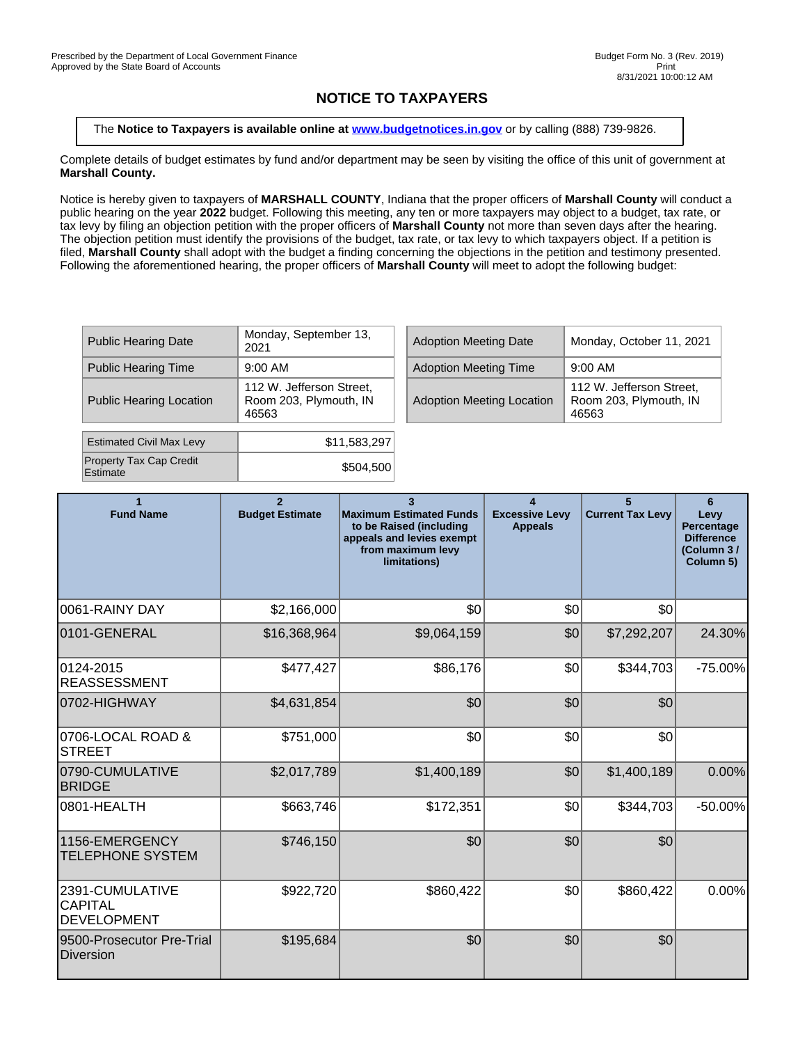## **NOTICE TO TAXPAYERS**

The **Notice to Taxpayers is available online at [www.budgetnotices.in.gov](http://budgetnotices.in.gov/)** or by calling (888) 739-9826.

Complete details of budget estimates by fund and/or department may be seen by visiting the office of this unit of government at **Marshall County.**

Notice is hereby given to taxpayers of **MARSHALL COUNTY**, Indiana that the proper officers of **Marshall County** will conduct a public hearing on the year **2022** budget. Following this meeting, any ten or more taxpayers may object to a budget, tax rate, or tax levy by filing an objection petition with the proper officers of **Marshall County** not more than seven days after the hearing. The objection petition must identify the provisions of the budget, tax rate, or tax levy to which taxpayers object. If a petition is filed, **Marshall County** shall adopt with the budget a finding concerning the objections in the petition and testimony presented. Following the aforementioned hearing, the proper officers of **Marshall County** will meet to adopt the following budget:

| <b>Public Hearing Date</b>          | Monday, September 13,<br>2021                               |  | <b>Adoption Meeting Date</b>     | Monday.                    |
|-------------------------------------|-------------------------------------------------------------|--|----------------------------------|----------------------------|
| <b>Public Hearing Time</b>          | $9:00$ AM                                                   |  | <b>Adoption Meeting Time</b>     | $9:00$ AM                  |
| <b>Public Hearing Location</b>      | 112 W. Jefferson Street,<br>Room 203, Plymouth, IN<br>46563 |  | <b>Adoption Meeting Location</b> | 112 W.<br>Room 20<br>46563 |
| <b>Estimated Civil Max Levy</b>     | \$11,583,297                                                |  |                                  |                            |
| Property Tax Cap Credit<br>Estimate | \$504,500                                                   |  |                                  |                            |

| Monday, September 13,<br>2021                               | <b>Adoption Meeting Date</b>     | Monday, October 11, 2021                                    |
|-------------------------------------------------------------|----------------------------------|-------------------------------------------------------------|
| 9:00 AM                                                     | <b>Adoption Meeting Time</b>     | $9:00$ AM                                                   |
| 112 W. Jefferson Street,<br>Room 203, Plymouth, IN<br>46563 | <b>Adoption Meeting Location</b> | 112 W. Jefferson Street.<br>Room 203, Plymouth, IN<br>46563 |

| 1<br><b>Fund Name</b>                                   | $\overline{2}$<br><b>Budget Estimate</b> | $\mathbf{R}$<br><b>Maximum Estimated Funds</b><br>to be Raised (including<br>appeals and levies exempt<br>from maximum levy<br>limitations) | $\blacktriangle$<br><b>Excessive Levy</b><br><b>Appeals</b> | 5<br><b>Current Tax Levy</b> | 6<br>Levy<br>Percentage<br><b>Difference</b><br>(Column 3/<br>Column 5) |
|---------------------------------------------------------|------------------------------------------|---------------------------------------------------------------------------------------------------------------------------------------------|-------------------------------------------------------------|------------------------------|-------------------------------------------------------------------------|
| I0061-RAINY DAY                                         | \$2,166,000                              | \$0                                                                                                                                         | \$0                                                         | \$0                          |                                                                         |
| 0101-GENERAL                                            | \$16,368,964                             | \$9,064,159                                                                                                                                 | \$0                                                         | \$7,292,207                  | 24.30%                                                                  |
| 0124-2015<br>REASSESSMENT                               | \$477,427                                | \$86,176                                                                                                                                    | \$0                                                         | \$344,703                    | $-75.00%$                                                               |
| 0702-HIGHWAY                                            | \$4,631,854                              | \$0                                                                                                                                         | \$0                                                         | \$0                          |                                                                         |
| 0706-LOCAL ROAD &<br><b>STREET</b>                      | \$751,000                                | \$0                                                                                                                                         | \$0                                                         | \$0                          |                                                                         |
| 0790-CUMULATIVE<br><b>BRIDGE</b>                        | \$2,017,789                              | \$1,400,189                                                                                                                                 | \$0                                                         | \$1,400,189                  | 0.00%                                                                   |
| 0801-HEALTH                                             | \$663,746                                | \$172,351                                                                                                                                   | \$0                                                         | \$344,703                    | $-50.00\%$                                                              |
| 1156-EMERGENCY<br><b>TELEPHONE SYSTEM</b>               | \$746,150                                | \$0                                                                                                                                         | \$0                                                         | \$0                          |                                                                         |
| 2391-CUMULATIVE<br><b>CAPITAL</b><br><b>DEVELOPMENT</b> | \$922,720                                | \$860,422                                                                                                                                   | \$0                                                         | \$860,422                    | 0.00%                                                                   |
| 9500-Prosecutor Pre-Trial<br>Diversion                  | \$195,684                                | \$0                                                                                                                                         | \$0                                                         | \$0                          |                                                                         |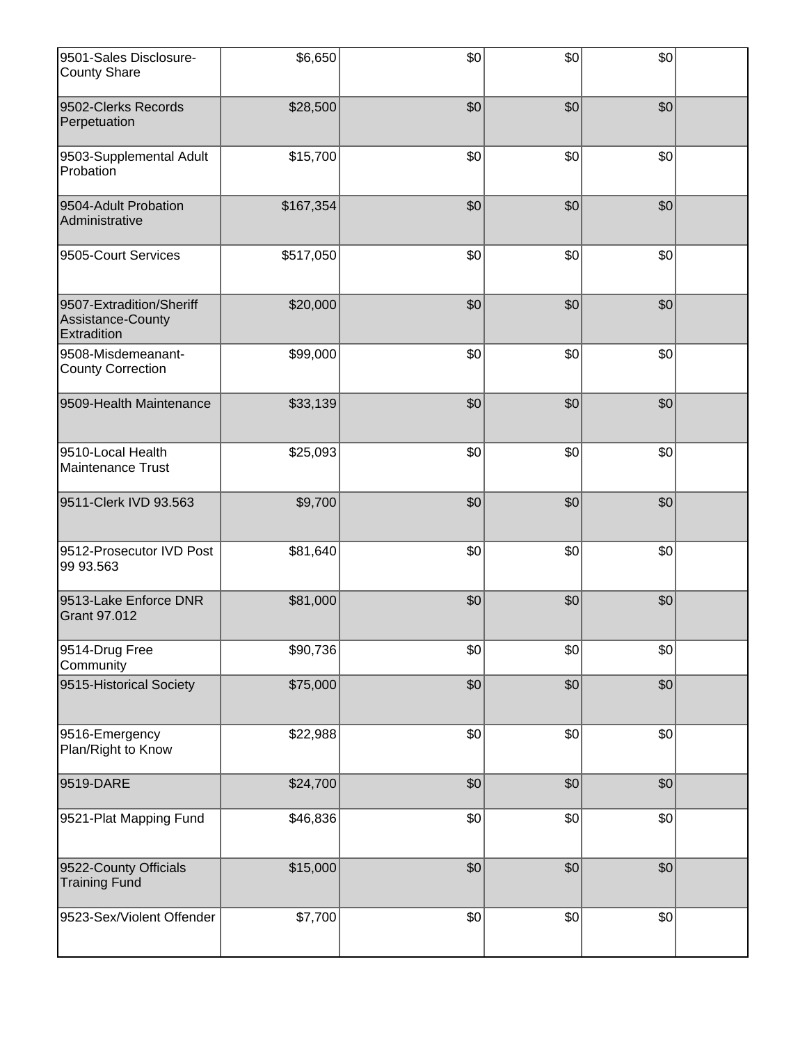| 9501-Sales Disclosure-<br><b>County Share</b>                | \$6,650   | \$0 | \$0 | \$0 |  |
|--------------------------------------------------------------|-----------|-----|-----|-----|--|
| 9502-Clerks Records<br>Perpetuation                          | \$28,500  | \$0 | 30  | 30  |  |
| 9503-Supplemental Adult<br>Probation                         | \$15,700  | \$0 | \$0 | \$0 |  |
| 9504-Adult Probation<br>Administrative                       | \$167,354 | \$0 | \$0 | \$0 |  |
| 9505-Court Services                                          | \$517,050 | \$0 | \$0 | \$0 |  |
| 9507-Extradition/Sheriff<br>Assistance-County<br>Extradition | \$20,000  | \$0 | \$0 | \$0 |  |
| 9508-Misdemeanant-<br><b>County Correction</b>               | \$99,000  | \$0 | \$0 | \$0 |  |
| 9509-Health Maintenance                                      | \$33,139  | \$0 | 30  | 30  |  |
| 9510-Local Health<br>Maintenance Trust                       | \$25,093  | \$0 | \$0 | \$0 |  |
| 9511-Clerk IVD 93.563                                        | \$9,700   | \$0 | \$0 | \$0 |  |
| 9512-Prosecutor IVD Post<br>99 93.563                        | \$81,640  | \$0 | \$0 | \$0 |  |
| 9513-Lake Enforce DNR<br><b>Grant 97.012</b>                 | \$81,000  | \$0 | \$0 | \$0 |  |
| 9514-Drug Free<br>Community                                  | \$90,736  | \$0 | \$0 | \$0 |  |
| 9515-Historical Society                                      | \$75,000  | \$0 | \$0 | 30  |  |
| 9516-Emergency<br>Plan/Right to Know                         | \$22,988  | \$0 | \$0 | \$0 |  |
| 9519-DARE                                                    | \$24,700  | \$0 | \$0 | \$0 |  |
| 9521-Plat Mapping Fund                                       | \$46,836  | \$0 | \$0 | \$0 |  |
| 9522-County Officials<br><b>Training Fund</b>                | \$15,000  | \$0 | \$0 | \$0 |  |
| 9523-Sex/Violent Offender                                    | \$7,700   | \$0 | \$0 | \$0 |  |